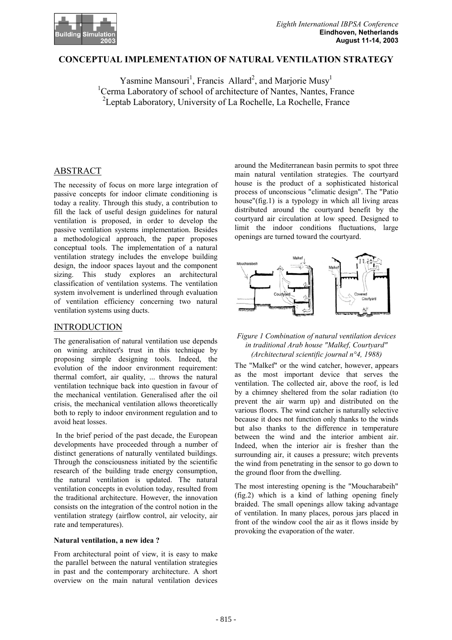

## **CONCEPTUAL IMPLEMENTATION OF NATURAL VENTILATION STRATEGY**

Yasmine Mansouri<sup>1</sup>, Francis Allard<sup>2</sup>, and Marjorie Musy<sup>1</sup> <sup>1</sup>Cerma Laboratory of school of architecture of Nantes, Nantes, France <sup>2</sup> Leptab Laboratory, University of La Rochelle, La Rochelle, France

# ABSTRACT

The necessity of focus on more large integration of passive concepts for indoor climate conditioning is today a reality. Through this study, a contribution to fill the lack of useful design guidelines for natural ventilation is proposed, in order to develop the passive ventilation systems implementation. Besides a methodological approach, the paper proposes conceptual tools. The implementation of a natural ventilation strategy includes the envelope building design, the indoor spaces layout and the component sizing. This study explores an architectural classification of ventilation systems. The ventilation system involvement is underlined through evaluation of ventilation efficiency concerning two natural ventilation systems using ducts.

## INTRODUCTION

The generalisation of natural ventilation use depends on wining architect's trust in this technique by proposing simple designing tools. Indeed, the evolution of the indoor environment requirement: thermal comfort, air quality, ... throws the natural ventilation technique back into question in favour of the mechanical ventilation. Generalised after the oil crisis, the mechanical ventilation allows theoretically both to reply to indoor environment regulation and to avoid heat losses.

 In the brief period of the past decade, the European developments have proceeded through a number of distinct generations of naturally ventilated buildings. Through the consciousness initiated by the scientific research of the building trade energy consumption, the natural ventilation is updated. The natural ventilation concepts in evolution today, resulted from the traditional architecture. However, the innovation consists on the integration of the control notion in the ventilation strategy (airflow control, air velocity, air rate and temperatures).

#### **Natural ventilation, a new idea ?**

From architectural point of view, it is easy to make the parallel between the natural ventilation strategies in past and the contemporary architecture. A short overview on the main natural ventilation devices

around the Mediterranean basin permits to spot three main natural ventilation strategies. The courtyard house is the product of a sophisticated historical process of unconscious "climatic design". The "Patio house"(fig.1) is a typology in which all living areas distributed around the courtyard benefit by the courtyard air circulation at low speed. Designed to limit the indoor conditions fluctuations, large openings are turned toward the courtyard.



## *Figure 1 Combination of natural ventilation devices in traditional Arab house "Malkef, Courtyard" (Architectural scientific journal n°4, 1988)*

The "Malkef" or the wind catcher, however, appears as the most important device that serves the ventilation. The collected air, above the roof, is led by a chimney sheltered from the solar radiation (to prevent the air warm up) and distributed on the various floors. The wind catcher is naturally selective because it does not function only thanks to the winds but also thanks to the difference in temperature between the wind and the interior ambient air. Indeed, when the interior air is fresher than the surrounding air, it causes a pressure; witch prevents the wind from penetrating in the sensor to go down to the ground floor from the dwelling.

The most interesting opening is the "Moucharabeih" (fig.2) which is a kind of lathing opening finely braided. The small openings allow taking advantage of ventilation. In many places, porous jars placed in front of the window cool the air as it flows inside by provoking the evaporation of the water.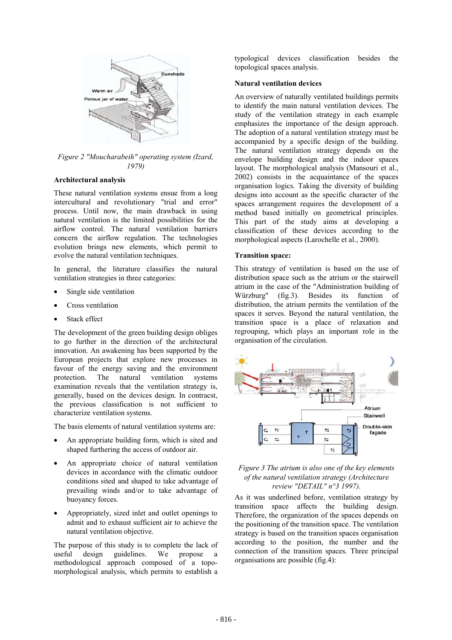

*Figure 2 "Moucharabeih" operating system (Izard, 1979)* 

## **Architectural analysis**

These natural ventilation systems ensue from a long intercultural and revolutionary "trial and error" process. Until now, the main drawback in using natural ventilation is the limited possibilities for the airflow control. The natural ventilation barriers concern the airflow regulation. The technologies evolution brings new elements, which permit to evolve the natural ventilation techniques.

In general, the literature classifies the natural ventilation strategies in three categories:

- -Single side ventilation
- -Cross ventilation
- -Stack effect

The development of the green building design obliges to go further in the direction of the architectural innovation. An awakening has been supported by the European projects that explore new processes in favour of the energy saving and the environment protection. The natural ventilation systems examination reveals that the ventilation strategy is, generally, based on the devices design. In contracst, the previous classification is not sufficient to characterize ventilation systems.

The basis elements of natural ventilation systems are:

- - An appropriate building form, which is sited and shaped furthering the access of outdoor air.
- - An appropriate choice of natural ventilation devices in accordance with the climatic outdoor conditions sited and shaped to take advantage of prevailing winds and/or to take advantage of buoyancy forces.
- - Appropriately, sized inlet and outlet openings to admit and to exhaust sufficient air to achieve the natural ventilation objective.

The purpose of this study is to complete the lack of useful design guidelines. We propose a methodological approach composed of a topomorphological analysis, which permits to establish a

typological devices classification besides the topological spaces analysis.

### **Natural ventilation devices**

An overview of naturally ventilated buildings permits to identify the main natural ventilation devices. The study of the ventilation strategy in each example emphasizes the importance of the design approach. The adoption of a natural ventilation strategy must be accompanied by a specific design of the building. The natural ventilation strategy depends on the envelope building design and the indoor spaces layout. The morphological analysis (Mansouri et al., 2002) consists in the acquaintance of the spaces organisation logics. Taking the diversity of building designs into account as the specific character of the spaces arrangement requires the development of a method based initially on geometrical principles. This part of the study aims at developing a classification of these devices according to the morphological aspects (Larochelle et al., 2000).

### **Transition space:**

This strategy of ventilation is based on the use of distribution space such as the atrium or the stairwell atrium in the case of the "Administration building of Würzburg" (fig.3). Besides its function of distribution, the atrium permits the ventilation of the spaces it serves. Beyond the natural ventilation, the transition space is a place of relaxation and regrouping, which plays an important role in the organisation of the circulation.



## *Figure 3 The atrium is also one of the key elements of the natural ventilation strategy (Architecture review "DETAIL" n°3 1997).*

As it was underlined before, ventilation strategy by transition space affects the building design. Therefore, the organization of the spaces depends on the positioning of the transition space. The ventilation strategy is based on the transition spaces organisation according to the position, the number and the connection of the transition spaces. Three principal organisations are possible (fig.4):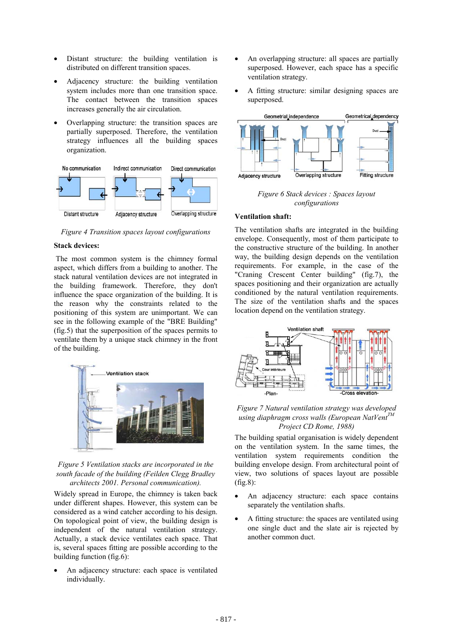- - Distant structure: the building ventilation is distributed on different transition spaces.
- - Adjacency structure: the building ventilation system includes more than one transition space. The contact between the transition spaces increases generally the air circulation.
- - Overlapping structure: the transition spaces are partially superposed. Therefore, the ventilation strategy influences all the building spaces organization.



*Figure 4 Transition spaces layout configurations* 

## **Stack devices:**

 The most common system is the chimney formal aspect, which differs from a building to another. The stack natural ventilation devices are not integrated in the building framework. Therefore, they don't influence the space organization of the building. It is the reason why the constraints related to the positioning of this system are unimportant. We can see in the following example of the "BRE Building" (fig.5) that the superposition of the spaces permits to ventilate them by a unique stack chimney in the front of the building.



*Figure 5 Ventilation stacks are incorporated in the south facade of the building (Feilden Clegg Bradley architects 2001. Personal communication).* 

Widely spread in Europe, the chimney is taken back under different shapes. However, this system can be considered as a wind catcher according to his design. On topological point of view, the building design is independent of the natural ventilation strategy. Actually, a stack device ventilates each space. That is, several spaces fitting are possible according to the building function (fig.6):

- An adjacency structure: each space is ventilated individually.

- - An overlapping structure: all spaces are partially superposed. However, each space has a specific ventilation strategy.
- - A fitting structure: similar designing spaces are superposed.



*Figure 6 Stack devices : Spaces layout configurations* 

## **Ventilation shaft:**

The ventilation shafts are integrated in the building envelope. Consequently, most of them participate to the constructive structure of the building. In another way, the building design depends on the ventilation requirements. For example, in the case of the "Craning Crescent Center building" (fig.7), the spaces positioning and their organization are actually conditioned by the natural ventilation requirements. The size of the ventilation shafts and the spaces location depend on the ventilation strategy.



*Figure 7 Natural ventilation strategy was developed using diaphragm cross walls (European NatVentTM Project CD Rome, 1988)* 

The building spatial organisation is widely dependent on the ventilation system. In the same times, the ventilation system requirements condition the building envelope design. From architectural point of view, two solutions of spaces layout are possible (fig.8):

- - An adjacency structure: each space contains separately the ventilation shafts.
- - A fitting structure: the spaces are ventilated using one single duct and the slate air is rejected by another common duct.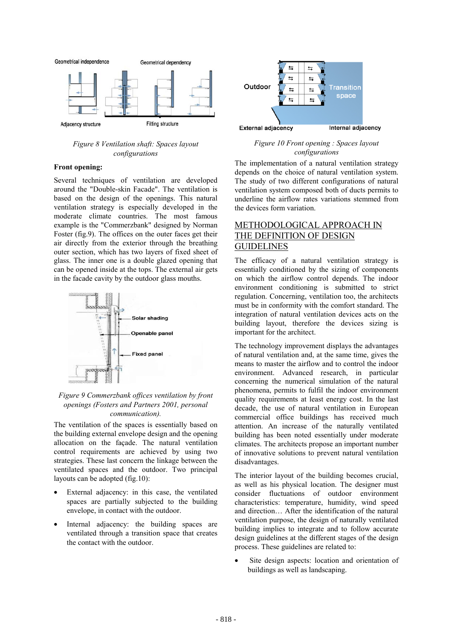

## *Figure 8 Ventilation shaft: Spaces layout configurations*

## **Front opening:**

Several techniques of ventilation are developed around the "Double-skin Facade". The ventilation is based on the design of the openings. This natural ventilation strategy is especially developed in the moderate climate countries. The most famous example is the "Commerzbank" designed by Norman Foster (fig.9). The offices on the outer faces get their air directly from the exterior through the breathing outer section, which has two layers of fixed sheet of glass. The inner one is a double glazed opening that can be opened inside at the tops. The external air gets in the facade cavity by the outdoor glass mouths.



## *Figure 9 Commerzbank offices ventilation by front openings (Fosters and Partners 2001, personal communication).*

The ventilation of the spaces is essentially based on the building external envelope design and the opening allocation on the façade. The natural ventilation control requirements are achieved by using two strategies. These last concern the linkage between the ventilated spaces and the outdoor. Two principal layouts can be adopted (fig.10):

- - External adjacency: in this case, the ventilated spaces are partially subjected to the building envelope, in contact with the outdoor.
- - Internal adjacency: the building spaces are ventilated through a transition space that creates the contact with the outdoor.



## *Figure 10 Front opening : Spaces layout configurations*

The implementation of a natural ventilation strategy depends on the choice of natural ventilation system. The study of two different configurations of natural ventilation system composed both of ducts permits to underline the airflow rates variations stemmed from the devices form variation.

# METHODOLOGICAL APPROACH IN THE DEFINITION OF DESIGN **GUIDELINES**

The efficacy of a natural ventilation strategy is essentially conditioned by the sizing of components on which the airflow control depends. The indoor environment conditioning is submitted to strict regulation. Concerning, ventilation too, the architects must be in conformity with the comfort standard. The integration of natural ventilation devices acts on the building layout, therefore the devices sizing is important for the architect.

The technology improvement displays the advantages of natural ventilation and, at the same time, gives the means to master the airflow and to control the indoor environment. Advanced research, in particular concerning the numerical simulation of the natural phenomena, permits to fulfil the indoor environment quality requirements at least energy cost. In the last decade, the use of natural ventilation in European commercial office buildings has received much attention. An increase of the naturally ventilated building has been noted essentially under moderate climates. The architects propose an important number of innovative solutions to prevent natural ventilation disadvantages.

The interior layout of the building becomes crucial, as well as his physical location. The designer must consider fluctuations of outdoor environment characteristics: temperature, humidity, wind speed and direction… After the identification of the natural ventilation purpose, the design of naturally ventilated building implies to integrate and to follow accurate design guidelines at the different stages of the design process. These guidelines are related to:

- Site design aspects: location and orientation of buildings as well as landscaping.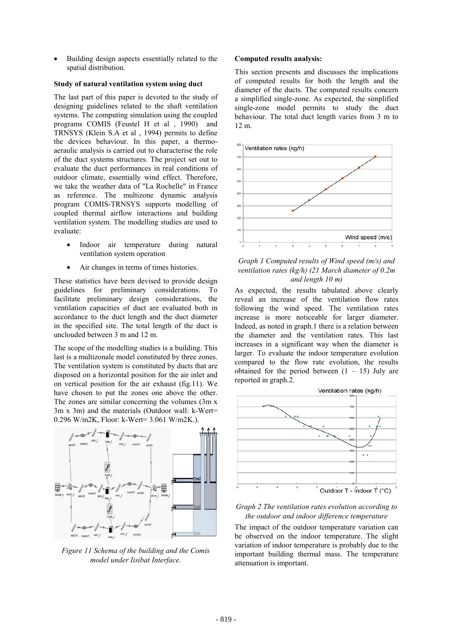- Building design aspects essentially related to the spatial distribution.

### **Study of natural ventilation system using duct**

The last part of this paper is devoted to the study of designing guidelines related to the shaft ventilation systems. The computing simulation using the coupled programs COMIS (Feustel H et al , 1990) and TRNSYS (Klein S.A et al , 1994) permits to define the devices behaviour. In this paper, a thermoaeraulic analysis is carried out to characterise the role of the duct systems structures. The project set out to evaluate the duct performances in real conditions of outdoor climate, essentially wind effect. Therefore, we take the weather data of "La Rochelle" in France as reference. The multizone dynamic analysis program COMIS-TRNSYS supports modelling of coupled thermal airflow interactions and building ventilation system. The modelling studies are used to evaluate:

- $\bullet$  Indoor air temperature during natural ventilation system operation
- Air changes in terms of times histories.

These statistics have been devised to provide design guidelines for preliminary considerations. To facilitate preliminary design considerations, the ventilation capacities of duct are evaluated both in accordance to the duct length and the duct diameter in the specified site. The total length of the duct is unclouded between 3 m and 12 m.

The scope of the modelling studies is a building. This last is a multizonale model constituted by three zones. The ventilation system is constituted by ducts that are disposed on a horizontal position for the air inlet and on vertical position for the air exhaust (fig.11). We have chosen to put the zones one above the other. The zones are similar concerning the volumes (3m x 3m x 3m) and the materials (Outdoor wall: k-Wert= 0.296 W/m2K, Floor: k-Wert= 3.061 W/m2K.).



*Figure 11 Schema of the building and the Comis model under Iisibat Interface.* 

#### **Computed results analysis:**

This section presents and discusses the implications of computed results for both the length and the diameter of the ducts. The computed results concern a simplified single-zone. As expected, the simplified single-zone model permits to study the duct behaviour. The total duct length varies from 3 m to 12 m.





As expected, the results tabulated above clearly reveal an increase of the ventilation flow rates following the wind speed. The ventilation rates increase is more noticeable for larger diameter. Indeed, as noted in graph.1 there is a relation between the diameter and the ventilation rates. This last increases in a significant way when the diameter is larger. To evaluate the indoor temperature evolution compared to the flow rate evolution, the results obtained for the period between  $(1 - 15)$  July are reported in graph.2.



## *Graph 2 The ventilation rates evolution according to the outdoor and indoor difference temperature*

The impact of the outdoor temperature variation can be observed on the indoor temperature. The slight variation of indoor temperature is probably due to the important building thermal mass. The temperature attenuation is important.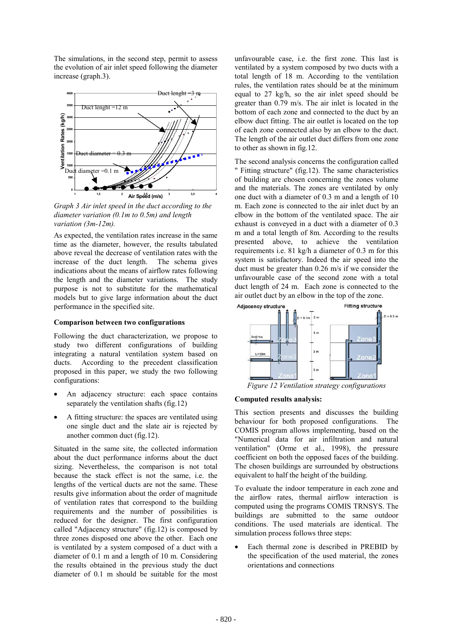The simulations, in the second step, permit to assess the evolution of air inlet speed following the diameter increase (graph.3).



*Graph 3 Air inlet speed in the duct according to the diameter variation (0.1m to 0.5m) and length variation (3m-12m).* 

As expected, the ventilation rates increase in the same time as the diameter, however, the results tabulated above reveal the decrease of ventilation rates with the increase of the duct length. The schema gives indications about the means of airflow rates following the length and the diameter variations. The study purpose is not to substitute for the mathematical models but to give large information about the duct performance in the specified site.

## **Comparison between two configurations**

Following the duct characterization, we propose to study two different configurations of building integrating a natural ventilation system based on ducts. According to the precedent classification proposed in this paper, we study the two following configurations:

- - An adjacency structure: each space contains separately the ventilation shafts (fig.12)
- - A fitting structure: the spaces are ventilated using one single duct and the slate air is rejected by another common duct (fig.12).

Situated in the same site, the collected information about the duct performance informs about the duct sizing. Nevertheless, the comparison is not total because the stack effect is not the same, i.e. the lengths of the vertical ducts are not the same. These results give information about the order of magnitude of ventilation rates that correspond to the building requirements and the number of possibilities is reduced for the designer. The first configuration called "Adjacency structure" (fig.12) is composed by three zones disposed one above the other. Each one is ventilated by a system composed of a duct with a diameter of 0.1 m and a length of 10 m. Considering the results obtained in the previous study the duct diameter of 0.1 m should be suitable for the most

unfavourable case, i.e. the first zone. This last is ventilated by a system composed by two ducts with a total length of 18 m. According to the ventilation rules, the ventilation rates should be at the minimum equal to 27 kg/h, so the air inlet speed should be greater than 0.79 m/s. The air inlet is located in the bottom of each zone and connected to the duct by an elbow duct fitting. The air outlet is located on the top of each zone connected also by an elbow to the duct. The length of the air outlet duct differs from one zone to other as shown in fig.12.

The second analysis concerns the configuration called " Fitting structure" (fig.12). The same characteristics of building are chosen concerning the zones volume and the materials. The zones are ventilated by only one duct with a diameter of 0.3 m and a length of 10 m. Each zone is connected to the air inlet duct by an elbow in the bottom of the ventilated space. The air exhaust is conveyed in a duct with a diameter of 0.3 m and a total length of 8m. According to the results presented above, to achieve the ventilation requirements i.e. 81 kg/h a diameter of 0.3 m for this system is satisfactory. Indeed the air speed into the duct must be greater than 0.26 m/s if we consider the unfavourable case of the second zone with a total duct length of 24 m. Each zone is connected to the air outlet duct by an elbow in the top of the zone.



*Figure 12 Ventilation strategy configurations* 

#### **Computed results analysis:**

This section presents and discusses the building behaviour for both proposed configurations. The COMIS program allows implementing, based on the "Numerical data for air infiltration and natural ventilation" (Orme et al., 1998), the pressure coefficient on both the opposed faces of the building. The chosen buildings are surrounded by obstructions equivalent to half the height of the building.

To evaluate the indoor temperature in each zone and the airflow rates, thermal airflow interaction is computed using the programs COMIS TRNSYS. The buildings are submitted to the same outdoor conditions. The used materials are identical. The simulation process follows three steps:

- Each thermal zone is described in PREBID by the specification of the used material, the zones orientations and connections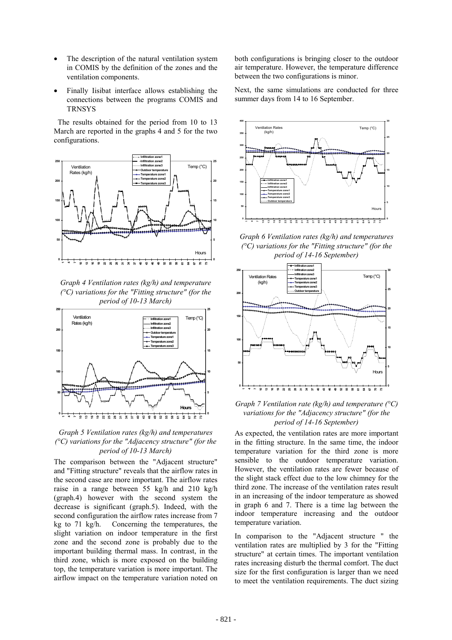- - The description of the natural ventilation system in COMIS by the definition of the zones and the ventilation components.
- - Finally Iisibat interface allows establishing the connections between the programs COMIS and **TRNSYS**

 The results obtained for the period from 10 to 13 March are reported in the graphs 4 and 5 for the two configurations.



*Graph 4 Ventilation rates (kg/h) and temperature (°C) variations for the "Fitting structure" (for the period of 10-13 March)* 





The comparison between the "Adjacent structure" and "Fitting structure" reveals that the airflow rates in the second case are more important. The airflow rates raise in a range between 55 kg/h and 210 kg/h (graph.4) however with the second system the decrease is significant (graph.5). Indeed, with the second configuration the airflow rates increase from 7 kg to 71 kg/h. Concerning the temperatures, the slight variation on indoor temperature in the first zone and the second zone is probably due to the important building thermal mass. In contrast, in the third zone, which is more exposed on the building top, the temperature variation is more important. The airflow impact on the temperature variation noted on

both configurations is bringing closer to the outdoor air temperature. However, the temperature difference between the two configurations is minor.

Next, the same simulations are conducted for three summer days from 14 to 16 September.



*Graph 6 Ventilation rates (kg/h) and temperatures (°C) variations for the "Fitting structure" (for the period of 14-16 September)* 



*Graph 7 Ventilation rate (kg/h) and temperature (°C) variations for the "Adjacency structure" (for the period of 14-16 September)* 

As expected, the ventilation rates are more important in the fitting structure. In the same time, the indoor temperature variation for the third zone is more sensible to the outdoor temperature variation. However, the ventilation rates are fewer because of the slight stack effect due to the low chimney for the third zone. The increase of the ventilation rates result in an increasing of the indoor temperature as showed in graph 6 and 7. There is a time lag between the indoor temperature increasing and the outdoor temperature variation.

In comparison to the "Adjacent structure " the ventilation rates are multiplied by 3 for the "Fitting structure" at certain times. The important ventilation rates increasing disturb the thermal comfort. The duct size for the first configuration is larger than we need to meet the ventilation requirements. The duct sizing